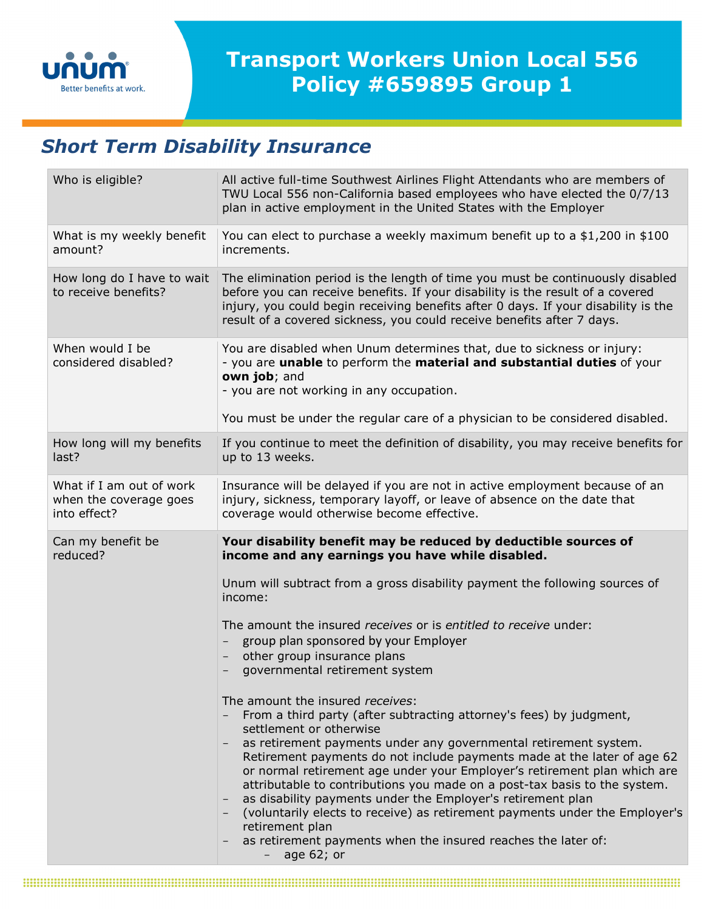

## *Short Term Disability Insurance*

| Who is eligible?                                                   | All active full-time Southwest Airlines Flight Attendants who are members of<br>TWU Local 556 non-California based employees who have elected the 0/7/13<br>plan in active employment in the United States with the Employer                                                                                                     |
|--------------------------------------------------------------------|----------------------------------------------------------------------------------------------------------------------------------------------------------------------------------------------------------------------------------------------------------------------------------------------------------------------------------|
| What is my weekly benefit<br>amount?                               | You can elect to purchase a weekly maximum benefit up to a \$1,200 in \$100<br>increments.                                                                                                                                                                                                                                       |
| How long do I have to wait<br>to receive benefits?                 | The elimination period is the length of time you must be continuously disabled<br>before you can receive benefits. If your disability is the result of a covered<br>injury, you could begin receiving benefits after 0 days. If your disability is the<br>result of a covered sickness, you could receive benefits after 7 days. |
| When would I be<br>considered disabled?                            | You are disabled when Unum determines that, due to sickness or injury:<br>- you are unable to perform the material and substantial duties of your<br>own job; and<br>- you are not working in any occupation.                                                                                                                    |
|                                                                    | You must be under the regular care of a physician to be considered disabled.                                                                                                                                                                                                                                                     |
| How long will my benefits<br>last?                                 | If you continue to meet the definition of disability, you may receive benefits for<br>up to 13 weeks.                                                                                                                                                                                                                            |
| What if I am out of work<br>when the coverage goes<br>into effect? | Insurance will be delayed if you are not in active employment because of an<br>injury, sickness, temporary layoff, or leave of absence on the date that<br>coverage would otherwise become effective.                                                                                                                            |
|                                                                    |                                                                                                                                                                                                                                                                                                                                  |
| Can my benefit be<br>reduced?                                      | Your disability benefit may be reduced by deductible sources of<br>income and any earnings you have while disabled.                                                                                                                                                                                                              |
|                                                                    | Unum will subtract from a gross disability payment the following sources of<br>income:                                                                                                                                                                                                                                           |
|                                                                    | The amount the insured receives or is entitled to receive under:                                                                                                                                                                                                                                                                 |
|                                                                    | group plan sponsored by your Employer                                                                                                                                                                                                                                                                                            |
|                                                                    | other group insurance plans<br>governmental retirement system                                                                                                                                                                                                                                                                    |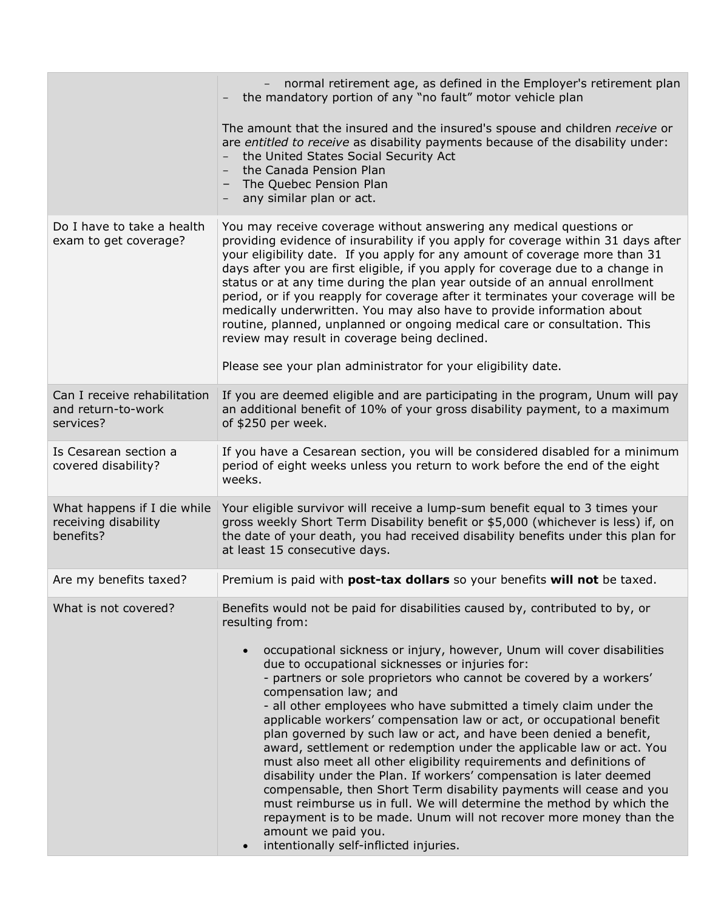|                                                                  | normal retirement age, as defined in the Employer's retirement plan<br>the mandatory portion of any "no fault" motor vehicle plan                                                                                                                                                                                                                                                                                                                                                                                                                                                                                                                                                                                                                                                                                                                                                                                                                       |
|------------------------------------------------------------------|---------------------------------------------------------------------------------------------------------------------------------------------------------------------------------------------------------------------------------------------------------------------------------------------------------------------------------------------------------------------------------------------------------------------------------------------------------------------------------------------------------------------------------------------------------------------------------------------------------------------------------------------------------------------------------------------------------------------------------------------------------------------------------------------------------------------------------------------------------------------------------------------------------------------------------------------------------|
|                                                                  | The amount that the insured and the insured's spouse and children receive or<br>are entitled to receive as disability payments because of the disability under:<br>the United States Social Security Act<br>the Canada Pension Plan<br>The Quebec Pension Plan<br>any similar plan or act.                                                                                                                                                                                                                                                                                                                                                                                                                                                                                                                                                                                                                                                              |
| Do I have to take a health<br>exam to get coverage?              | You may receive coverage without answering any medical questions or<br>providing evidence of insurability if you apply for coverage within 31 days after<br>your eligibility date. If you apply for any amount of coverage more than 31<br>days after you are first eligible, if you apply for coverage due to a change in<br>status or at any time during the plan year outside of an annual enrollment<br>period, or if you reapply for coverage after it terminates your coverage will be<br>medically underwritten. You may also have to provide information about<br>routine, planned, unplanned or ongoing medical care or consultation. This<br>review may result in coverage being declined.<br>Please see your plan administrator for your eligibility date.                                                                                                                                                                                   |
| Can I receive rehabilitation<br>and return-to-work<br>services?  | If you are deemed eligible and are participating in the program, Unum will pay<br>an additional benefit of 10% of your gross disability payment, to a maximum<br>of \$250 per week.                                                                                                                                                                                                                                                                                                                                                                                                                                                                                                                                                                                                                                                                                                                                                                     |
| Is Cesarean section a<br>covered disability?                     | If you have a Cesarean section, you will be considered disabled for a minimum<br>period of eight weeks unless you return to work before the end of the eight<br>weeks.                                                                                                                                                                                                                                                                                                                                                                                                                                                                                                                                                                                                                                                                                                                                                                                  |
| What happens if I die while<br>receiving disability<br>benefits? | Your eligible survivor will receive a lump-sum benefit equal to 3 times your<br>gross weekly Short Term Disability benefit or \$5,000 (whichever is less) if, on<br>the date of your death, you had received disability benefits under this plan for<br>at least 15 consecutive days.                                                                                                                                                                                                                                                                                                                                                                                                                                                                                                                                                                                                                                                                   |
| Are my benefits taxed?                                           | Premium is paid with post-tax dollars so your benefits will not be taxed.                                                                                                                                                                                                                                                                                                                                                                                                                                                                                                                                                                                                                                                                                                                                                                                                                                                                               |
| What is not covered?                                             | Benefits would not be paid for disabilities caused by, contributed to by, or<br>resulting from:                                                                                                                                                                                                                                                                                                                                                                                                                                                                                                                                                                                                                                                                                                                                                                                                                                                         |
|                                                                  | occupational sickness or injury, however, Unum will cover disabilities<br>due to occupational sicknesses or injuries for:<br>- partners or sole proprietors who cannot be covered by a workers'<br>compensation law; and<br>- all other employees who have submitted a timely claim under the<br>applicable workers' compensation law or act, or occupational benefit<br>plan governed by such law or act, and have been denied a benefit,<br>award, settlement or redemption under the applicable law or act. You<br>must also meet all other eligibility requirements and definitions of<br>disability under the Plan. If workers' compensation is later deemed<br>compensable, then Short Term disability payments will cease and you<br>must reimburse us in full. We will determine the method by which the<br>repayment is to be made. Unum will not recover more money than the<br>amount we paid you.<br>intentionally self-inflicted injuries. |